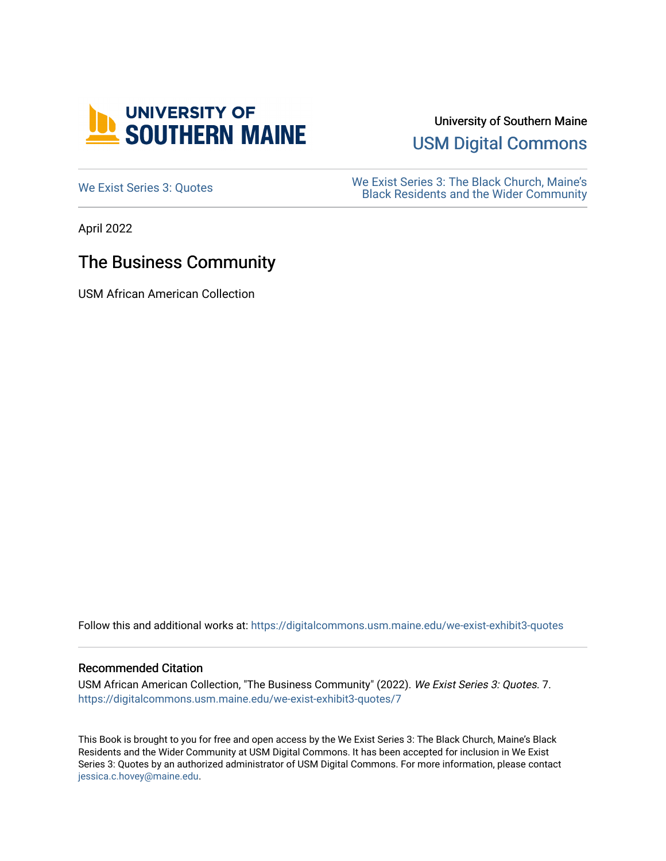

University of Southern Maine

[USM Digital Commons](https://digitalcommons.usm.maine.edu/) 

[We Exist Series 3: Quotes](https://digitalcommons.usm.maine.edu/we-exist-exhibit3-quotes) We Exist Series 3: The Black Church, Maine's<br>
Read Residents and the Wider Community [Black Residents and the Wider Community](https://digitalcommons.usm.maine.edu/we-exist-exhibit3) 

April 2022

## The Business Community

USM African American Collection

Follow this and additional works at: [https://digitalcommons.usm.maine.edu/we-exist-exhibit3-quotes](https://digitalcommons.usm.maine.edu/we-exist-exhibit3-quotes?utm_source=digitalcommons.usm.maine.edu%2Fwe-exist-exhibit3-quotes%2F7&utm_medium=PDF&utm_campaign=PDFCoverPages) 

## Recommended Citation

USM African American Collection, "The Business Community" (2022). We Exist Series 3: Quotes. 7. [https://digitalcommons.usm.maine.edu/we-exist-exhibit3-quotes/7](https://digitalcommons.usm.maine.edu/we-exist-exhibit3-quotes/7?utm_source=digitalcommons.usm.maine.edu%2Fwe-exist-exhibit3-quotes%2F7&utm_medium=PDF&utm_campaign=PDFCoverPages)

This Book is brought to you for free and open access by the We Exist Series 3: The Black Church, Maine's Black Residents and the Wider Community at USM Digital Commons. It has been accepted for inclusion in We Exist Series 3: Quotes by an authorized administrator of USM Digital Commons. For more information, please contact [jessica.c.hovey@maine.edu.](mailto:ian.fowler@maine.edu)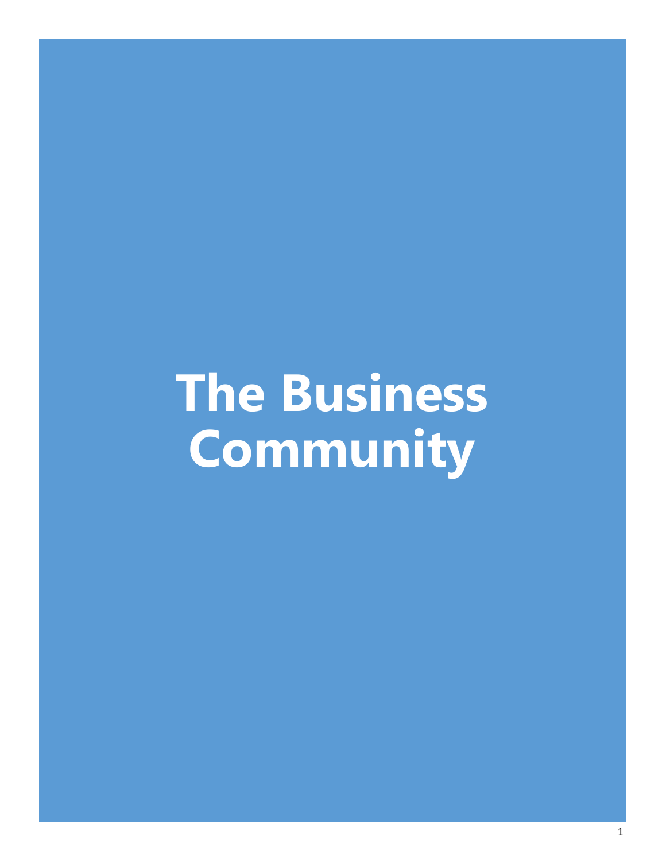## **The Business Community**